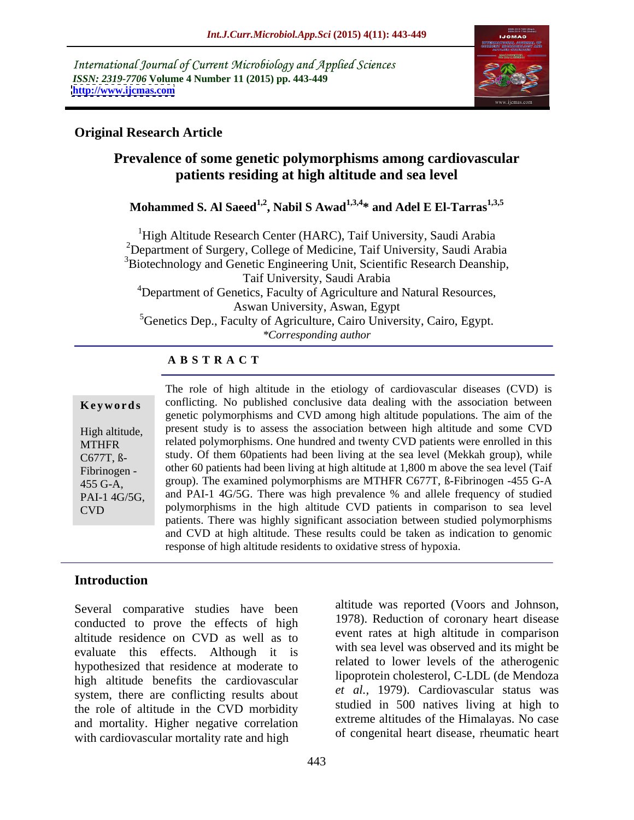International Journal of Current Microbiology and Applied Sciences *ISSN: 2319-7706* **Volume 4 Number 11 (2015) pp. 443-449 <http://www.ijcmas.com>**



### **Original Research Article**

# **Prevalence of some genetic polymorphisms among cardiovascular patients residing at high altitude and sea level**

**Mohammed S. Al Saeed1,2 , Nabil S Awad1,3,4\* and Adel E El-Tarras1,3,5**

<sup>1</sup>High Altitude Research Center (HARC), Taif University, Saudi Arabia <sup>2</sup>Department of Surgery, College of Medicine, Taif University, Saudi Arabia <sup>3</sup>Biotechnology and Genetic Engineering Unit, Scientific Research Deanship, Taif University, Saudi Arabia <sup>4</sup>Department of Genetics, Faculty of Agriculture and Natural Resources, Aswan University, Aswan, Egypt <sup>5</sup>Genetics Dep., Faculty of Agriculture, Cairo University, Cairo, Egypt. *\*Corresponding author*

# **A B S T R A C T**

CVD

The role of high altitude in the etiology of cardiovascular diseases (CVD) is **Keywords** conflicting. No published conclusive data dealing with the association between genetic polymorphisms and CVD among high altitude populations. The aim of the present study is to assess the association between high altitude and some CVD High altitude, MTHFR related polymorphisms. One hundred and twenty CVD patients were enrolled in this study. Of them 60patients had been living at the sea level (Mekkah group), while C677T, ß- Fibrinogen - other 60 patients had been living at high altitude at 1,800 m above the sea level (Taif group). The examined polymorphisms are MTHFR C677T, ß-Fibrinogen -455 G-A 455 G-A, PAI-1 4G/5G, and PAI-1 4G/5G. There was high prevalence % and allele frequency of studied polymorphisms in the high altitude CVD patients in comparison to sea level patients. There was highly significant association between studied polymorphisms and CVD at high altitude. These results could be taken as indication to genomic response of high altitude residents to oxidative stress of hypoxia.

## **Introduction**

Several comparative studies have been conducted to prove the effects of high altitude residence on CVD as well as to evaluate this effects. Although it is hypothesized that residence at moderate to high altitude benefits the cardiovascular system, there are conflicting results about the role of altitude in the CVD morbidity and mortality. Higher negative correlation with cardiovascular mortality rate and high

altitude was reported (Voors and Johnson, 1978). Reduction of coronary heart disease event rates at high altitude in comparison with sea level was observed and its might be related to lower levels of the atherogenic lipoprotein cholesterol, C-LDL (de Mendoza *et al.,* 1979). Cardiovascular status was studied in 500 natives living at high to extreme altitudes of the Himalayas. No case of congenital heart disease, rheumatic heart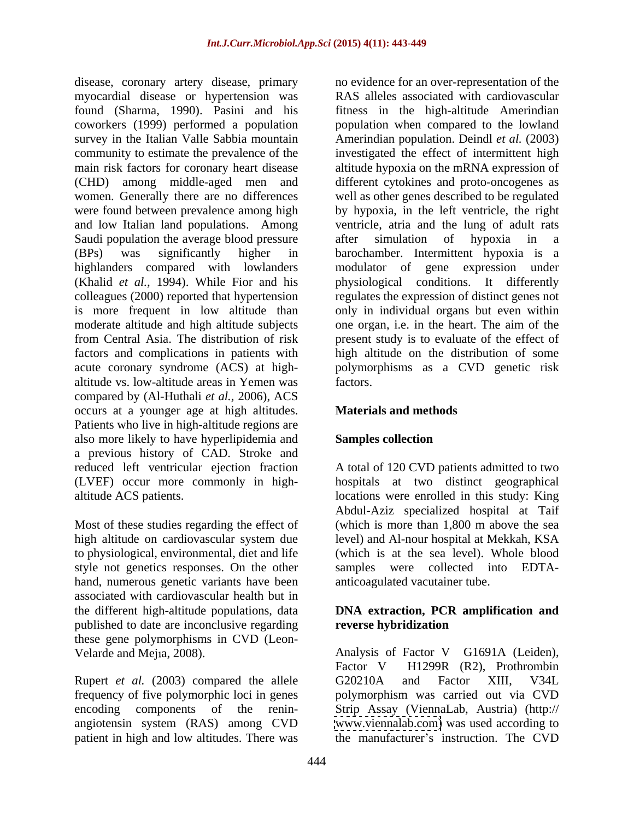disease, coronary artery disease, primary myocardial disease or hypertension was coworkers (1999) performed a population Saudi population the average blood pressure after simulation of hypoxia in a factors and complications in patients with altitude vs. low-altitude areas in Yemen was compared by (Al-Huthali *et al.,* 2006), ACS occurs at a younger age at high altitudes. Patients who live in high-altitude regions are also more likely to have hyperlipidemia and a previous history of CAD. Stroke and reduced left ventricular ejection fraction A total of 120 CVD patients admitted to two (LVEF) occur more commonly in high altitude ACS patients. locations were enrolled in this study: King

high altitude on cardiovascular system due to physiological, environmental, diet and life style not genetics responses. On the other hand, numerous genetic variants have been associated with cardiovascular health but in the different high-altitude populations, data **DNA extraction, PCR amplification and** published to date are inconclusive regarding these gene polymorphisms in CVD (Leon-

Rupert *et al.* (2003) compared the allele G20210A and Factor XIII, V34L patient in high and low altitudes. There was

found (Sharma, 1990). Pasini and his fitness in the high-altitude Amerindian survey in the Italian Valle Sabbia mountain Amerindian population. Deindl *et al.* (2003) community to estimate the prevalence of the investigated the effect of intermittent high main risk factors for coronary heart disease altitude hypoxia on the mRNA expression of (CHD) among middle-aged men and different cytokines and proto-oncogenes as women. Generally there are no differences well as other genes described to be regulated were found between prevalence among high by hypoxia, in the left ventricle, the right and low Italian land populations. Among ventricle, atria and the lung of adult rats (BPs) was significantly higher in barochamber. Intermittent hypoxia is a highlanders compared with lowlanders modulator of gene expression under (Khalid *et al.,* 1994). While Fior and his physiological conditions. It differently colleagues (2000) reported that hypertension regulates the expression of distinct genes not is more frequent in low altitude than only in individual organs but even within moderate altitude and high altitude subjects one organ, i.e. in the heart. The aim of the from Central Asia. The distribution of risk present study is to evaluate of the effect of acute coronary syndrome (ACS) at high- polymorphisms as a CVD genetic risk no evidence for an over-representation of the RAS alleles associated with cardiovascular population when compared to the lowland after simulation of hypoxia in a high altitude on the distribution of some factors.

### **Materials and methods**

### **Samples collection**

Most of these studies regarding the effect of (which is more than 1,800 m above the sea hospitals at two distinct geographical Abdul-Aziz specialized hospital at Taif level) and Al-nour hospital at Mekkah, KSA (which is at the sea level). Whole blood samples were collected into EDTA anticoagulated vacutainer tube.

# **reverse hybridization**

Velarde and Mejia, 2008). 
<br>
Analysis of Factor V G1691A (Leiden), frequency of five polymorphic loci in genes polymorphism was carried out via CVD encoding components of the renin- Strip Assay (ViennaLab, Austria) (http:// angiotensin system (RAS) among CVD [www.viennalab.com\)](http://www.viennalab.com) was used according to Factor V H1299R (R2), Prothrombin G20210A and Factor XIII, V34L the manufacturer's instruction. The CVD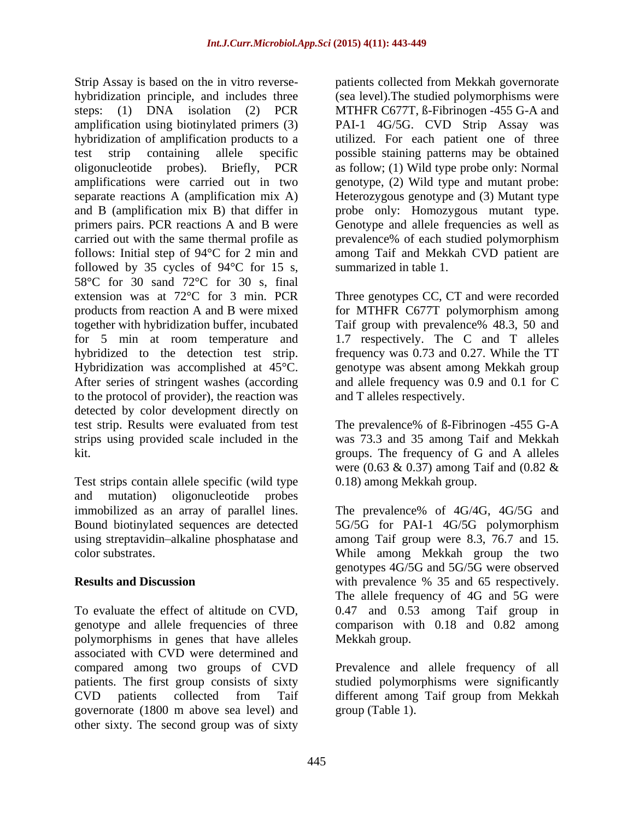Strip Assay is based on the in vitro reverse- patients collected from Mekkah governorate hybridization principle, and includes three (sea level).The studied polymorphisms were steps: (1) DNA isolation (2) PCR MTHFR C677T, ß-Fibrinogen -455 G-A and amplification using biotinylated primers (3) PAI-1 4G/5G. CVD Strip Assay was hybridization of amplification products to a test strip containing allele specific possible staining patterns may be obtained oligonucleotide probes). Briefly, PCR as follow; (1) Wild type probe only: Normal amplifications were carried out in two genotype, (2) Wild type and mutant probe: separate reactions A (amplification mix A) Heterozygous genotype and (3) Mutant type and B (amplification mix B) that differ in probe only: Homozygous mutant type. primers pairs. PCR reactions A and B were Genotype and allele frequencies as well as carried out with the same thermal profile as prevalence% of each studied polymorphism follows: Initial step of 94°C for 2 min and among Taif and Mekkah CVD patient are followed by 35 cycles of 94°C for 15 s, 58°C for 30 sand 72°C for 30 s, final extension was at 72°C for 3 min. PCR Three genotypes CC,CT and were recorded products from reaction A and B were mixed for MTHFR C677T polymorphism among together with hybridization buffer, incubated Taif group with prevalence% 48.3, 50 and for 5 min at room temperature and 1.7 respectively. The C and T alleles hybridized to the detection test strip. frequency was 0.73 and 0.27. While the TT Hybridization was accomplished at 45°C. genotype was absent among Mekkah group After series of stringent washes (according and allele frequency was 0.9 and 0.1 for C to the protocol of provider), the reaction was detected by color development directly on test strip. Results were evaluated from test The prevalence% of ß-Fibrinogen -455 G-A strips using provided scale included in the was 73.3 and 35 among Taif and Mekkah kit. groups. The frequency of G and A alleles

Test strips contain allele specific (wild type and mutation) oligonucleotide probes

polymorphisms in genes that have alleles associated with CVD were determined and compared among two groups of CVD Prevalence and allele frequency of all patients. The first group consists of sixty studied polymorphisms were significantly CVD patients collected from Taif governorate (1800 m above sea level) and other sixty. The second group was of sixty

utilized. For each patient one of three summarized in table 1.

and T alleles respectively.

were (0.63  $\&$  0.37) among Taif and (0.82  $\&$ 0.18) among Mekkah group.

immobilized as an array of parallel lines. The prevalence% of 4G/4G, 4G/5G and Bound biotinylated sequences are detected 5G/5G for PAI-1 4G/5G polymorphism using streptavidin alkaline phosphatase and among Taif group were 8.3, 76.7 and 15. color substrates. The color substrates are expanding to the two while among Mekkah group the two **Results and Discussion**  $\omega$  with prevalence % 35 and 65 respectively. To evaluate the effect of altitude on CVD, 0.47 and 0.53 among Taif group in genotype and allele frequencies of three comparison with 0.18 and 0.82 among genotypes 4G/5G and 5G/5G were observed with prevalence % 35 and 65 respectively. The allele frequency of 4G and 5G were Mekkah group.

> different among Taif group from Mekkah group (Table 1).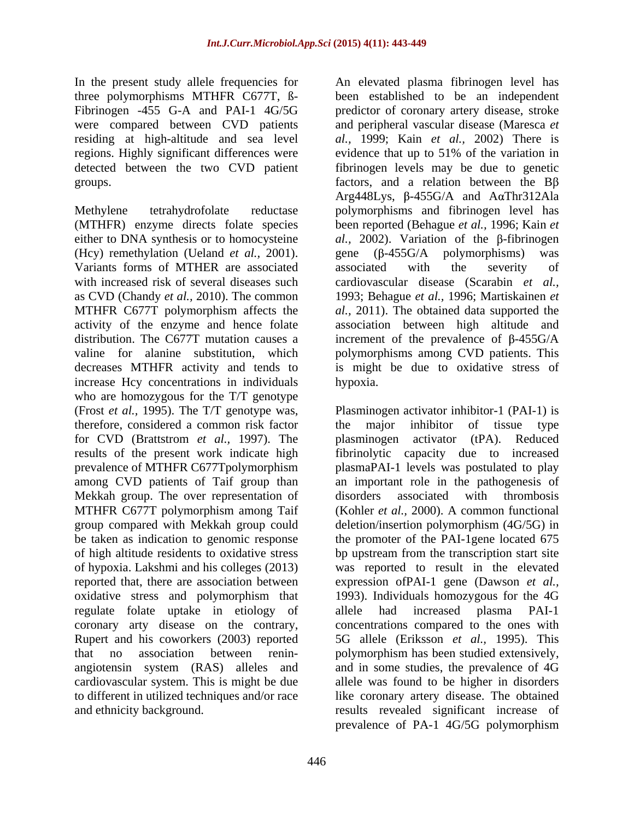In the present study allele frequencies for An elevated plasma fibrinogen level has Fibrinogen -455 G-A and PAI-1 4G/5G residing at high-altitude and sea level

with increased risk of several diseases such increase Hcy concentrations in individuals hypoxia. who are homozygous for the T/T genotype therefore, considered a common risk factor for CVD (Brattstrom *et al.,* 1997). The among CVD patients of Taif group than Mekkah group. The over representation of disorders associated with thrombosis MTHFR C677T polymorphism among Taif group compared with Mekkah group could reported that, there are association between oxidative stress and polymorphism that regulate folate uptake in etiology of allele had increased plasma PAI-1 Rupert and his coworkers (2003) reported In the present state of the constant fibringen level has the state of the state of the present state is the state of the state of the state of the state of the state of the state of the state of the state of the state of

three polymorphisms MTHFR C677T, ß- been established to be an independent were compared between CVD patients and peripheral vascular disease (Maresca *et*  regions. Highly significant differences were evidence that up to 51% of the variation in detected between the two CVD patient fibrinogen levels may be due to genetic groups.  $factors$ , and a relation between the  $\beta\beta$ Methylene tetrahydrofolate reductase polymorphisms and fibrinogen level has (MTHFR) enzyme directs folate species been reported (Behague *et al.,* 1996; Kain *et*  either to DNA synthesis or to homocysteine  $al., 2002$ ). Variation of the  $\beta$ -fibrinogen (Hcy) remethylation (Ueland *et al.,* 2001).Variants forms of MTHER are associated as CVD (Chandy *et al.,* 2010). The common 1993; Behague *et al.,* 1996; Martiskainen *et*  MTHFR C677T polymorphism affects the *al.,* 2011). The obtained data supported the activity of the enzyme and hence folate association between high altitude and distribution. The C677T mutation causes a increment of the prevalence of  $\beta$ -455G/A valine for alanine substitution, which polymorphisms among CVD patients. This decreases MTHFR activity and tends to is might be due to oxidative stress of predictor of coronary artery disease, stroke *al.,* 1999; Kain *et al.,* 2002) There is  $Arg448Lys$ ,  $\beta$ -455G/A and  $A\alpha$ Thr312Ala gene  $(\beta$ -455G/A polymorphisms) was associated with the severity of cardiovascular disease (Scarabin *et al.,* hypoxia.

(Frost *et al.,* 1995). The T/T genotype was, Plasminogen activator inhibitor-1 (PAI-1) is results of the present work indicate high fibrinolytic capacity due to increased prevalence of MTHFR C677Tpolymorphism plasmaPAI-1 levels was postulated to play group compared with Mekkah group could deletion/insertion polymorphism (4G/5G) in be taken as indication to genomic response the promoter of the PAI-1gene located 675 of high altitude residents to oxidative stress bp upstream from the transcription start site of hypoxia. Lakshmi and his colleges (2013) was reported to result in the elevated coronary arty disease on the contrary, concentrations compared to the ones with that no association between renin- polymorphism has been studied extensively, angiotensin system (RAS) alleles and and in some studies, the prevalence of 4G cardiovascular system. This is might be due allele was found to be higher in disorders to different in utilized techniques and/or race like coronary artery disease. The obtained the major inhibitor of tissue type plasminogen activator (tPA). Reduced an important role in the pathogenesis of disorders associated with thrombosis (Kohler *et al.,* 2000). A common functional expression ofPAI-1 gene (Dawson *et al.,* 1993). Individuals homozygous for the 4G allele had increased plasma PAI-1 5G allele (Eriksson *et al.,* 1995). This results revealed significant increase of prevalence of PA-1 4G/5G polymorphism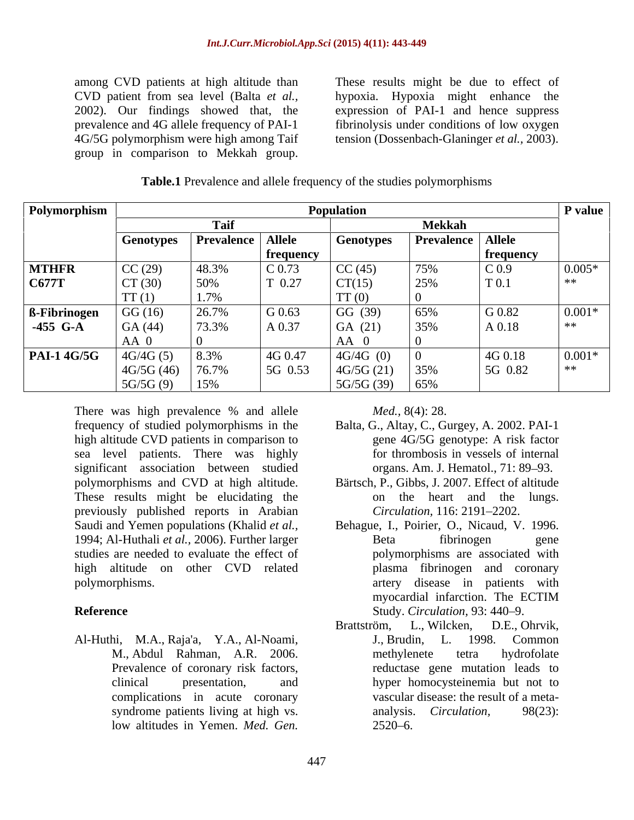among CVD patients at high altitude than These results might be due to effect of among CVD patients at high altitude than<br>CVD patient from sea level (Balta *et al.*, hypoxia. Hypoxia might enhance the<br>2002). Our findings showed that, the expression of PAI-1 and hence suppress<br>prevalence and 4G allele f

CVD patient from sea level (Balta *et al.,* hypoxia. Hypoxia might enhance the 2002). Our findings showed that, the expression of PAI-1 and hence suppress prevalence and 4G allele frequency of PAI-1 fibrinolysis under conditions of low oxygen 4G/5G polymorphism were high among Taif tension (Dossenbach-Glaninger *et al.,* 2003).

| Polymorphism        |                                               |                            |                  | Population       |                     |                    | <b>P</b> value |
|---------------------|-----------------------------------------------|----------------------------|------------------|------------------|---------------------|--------------------|----------------|
|                     |                                               | raif                       |                  |                  | <b>Mekkah</b>       |                    |                |
|                     | Genotypes                                     | <b>Prevalence</b>   Allele |                  | <b>Genotypes</b> | Prevalence   Allele |                    |                |
|                     |                                               |                            | <u>frequency</u> |                  |                     | <u>  frequency</u> |                |
| <b>MTHFR</b>        | $\begin{array}{c} \text{CC (29)} \end{array}$ | $ 48.3\%$                  | $C$ 0.73         | CC(45)           | 75%                 | $\overline{C}$ 0.9 | $0.005*$       |
| C677T               | CT(30)                                        | 50%                        | T 0.27           | CT(15)           | 25%                 | $T$ 0.1            | **             |
|                     | TT(1)                                         | $1.7\%$                    |                  | TT(0)            |                     |                    |                |
| <b>B-Fibrinogen</b> | GG(16)                                        | 26.7%                      | G 0.63           | GG (39)          | 65%                 | G 0.82             | $0.001*$       |
| $-455$ G-A          | GA (44)                                       | 73.3%                      | A 0.37           | GA (21)          | 35%                 | A 0.18             | **             |
|                     | AA 0                                          |                            |                  | AA 0             |                     |                    |                |
| <b>PAI-14G/5G</b>   | 4G/4G(5)                                      | 8.3%                       | 4G 0.47          | 4G/4G(0)         |                     | $\sqrt{4G}$ 0.18   | $0.001*$       |
|                     | $\vert$ 4G/5G (46) 76.7%                      |                            | 5G 0.53          | 4G/5G (21)       | 35%                 | 5G 0.82            |                |
|                     | 5G/5G(9)                                      | 15%                        |                  | 5G/5G(39)        | 65%                 |                    |                |

There was high prevalence % and allele *Med.*, 8(4): 28. frequency of studied polymorphisms in the Balta, G., Altay, C., Gurgey, A. 2002. PAI-1 high altitude CVD patients in comparison to gene 4G/5G genotype: A risk factor sea level patients. There was highly significant association between studied polymorphisms and CVD at high altitude. Bärtsch, P., Gibbs, J. 2007. Effect of altitude These results might be elucidating the previously published reports in Arabian Saudi and Yemen populations (Khalid *et al.*, Behague, I., Poirier, O., Nicaud, V. 1996. 1994; Al-Huthali *et al.,* 2006). Further larger studies are needed to evaluate the effect of high altitude on other CVD related was high prevalence % and allele<br> *Med.*, 8(4): 28.<br>
cy of studied polymorphisms in the<br>
itude CVD patients. There was highly<br>
itude gene 4G/5G genotype: A risk factor<br>
vel patients. There was highly<br>
for thrombosis in ves

complications in acute coronary

- gene 4G/5G genotype: A risk factor for thrombosis in vessels of internal organs. Am. J. Hematol., 71: 89–93.
- on the heart and the lungs. *Circulation,* 116: 2191–2202.
- polymorphisms. artery disease in patients with **Reference** Study. *Circulation*, 93: 440–9. Beta fibrinogen gene polymorphisms are associated with plasma fibrinogen and coronary myocardial infarction. The ECTIM
- Al-Huthi, M.A., Raja'a, Y.A., Al-Noami, M., Abdul Rahman, A.R. 2006. Prevalence of coronary risk factors, reductase gene mutation leads to clinical presentation, and hyper homocysteinemia but not to syndrome patients living at high vs. analysis. *Circulation*, 98(23): Brattström, L., Wilcken, D.E., Ohrvik, J., Brudin, L. 1998. Common methylenete tetra hydrofolate vascular disease: the result of a meta analysis. *Circulation*.  $2520 - 6$ .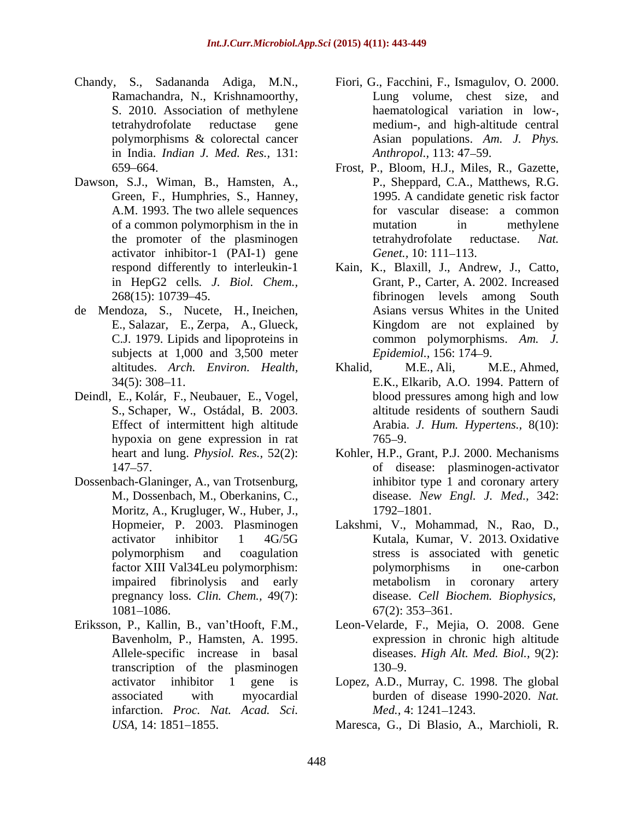- Chandy, S., Sadananda Adiga, M.N., Ramachandra, N., Krishnamoorthy, in India. *Indian J. Med. Res.,* 131:
- Dawson, S.J., Wiman, B., Hamsten, A., activator inhibitor-1 (PAI-1) gene *Genet*, 10: 111–113.
- de Mendoza, S., Nucete, H., Ineichen, subjects at 1,000 and 3,500 meter *Epidemiol*., 156: 174–9.
- Deindl, E., Kolár, F., Neubauer, E., Vogel, blood pressures among high and low Effect of intermittent high altitude hypoxia on gene expression in rat
- Dossenbach-Glaninger, A., van Trotsenburg, Moritz, A., Krugluger, W., Huber, J., 1792–1801.<br>Hopmeier, P. 2003. Plasminogen Lakshmi, V., Mo
- transcription of the plasminogen 130–9. infarction. *Proc. Nat. Acad. Sci.*
- S. 2010. Association of methylene haematological variation in low-, tetrahydrofolate reductase gene polymorphisms & colorectal cancer Asian populations. Am. J. Phys. Fiori, G., Facchini, F., Ismagulov, O. 2000. Lung volume, chest size, and haematological variation in low-, medium-, and high-altitude central Asian populations. *Am. J. Phys. Anthropol.,* 113: 47–59.
- 659 664. Frost, P., Bloom, H.J., Miles, R., Gazette, Green, F., Humphries, S., Hanney, 1995. A candidate genetic risk factor A.M. 1993. The two allele sequences for vascular disease: a common of a common polymorphism in the in mutation in methylene the promoter of the plasminogen tetrahydrofolate reductase. Nat. P., Sheppard, C.A., Matthews, R.G. mutation in methylene tetrahydrofolate reductase. *Nat. Genet.,* 10: 111–113.
- respond differently to interleukin-1 Kain, K., Blaxill, J., Andrew, J., Catto, in HepG2 cells*. J. Biol. Chem.,* Grant, P., Carter, A. 2002. Increased 268(15): 10739 45. fibrinogen levels among South E., Salazar, E., Zerpa, A., Glueck, C.J. 1979. Lipids and lipoproteins in common polymorphisms. *Am. J.* Asians versus Whites in the United Kingdom are not explained by *Epidemiol.,* 156: 174–9.
- altitudes. *Arch. Environ. Health,* 34(5): 308 11. E.K., Elkarib, A.O. 1994. Pattern of S., Schaper, W., Ostádal, B. 2003. altitude residents of southern Saudi Khalid, M.E., Ali, M.E., Ahmed, blood pressures among high and low Arabia. *J. Hum. Hypertens.,* 8(10):  $765 - 9.$
- heart and lung. *Physiol. Res.,* 52(2): Kohler, H.P., Grant, P.J. 2000. Mechanisms 147 57. of disease: plasminogen-activator M., Dossenbach, M., Oberkanins, C., disease. *New Engl. J. Med.,* 342: inhibitor type 1 and coronary artery 1792–1801.
- Hopmeier, P. 2003. Plasminogen Lakshmi, V., Mohammad, N., Rao, D., activator inhibitor 1 4G/5G polymorphism and coagulation factor XIII Val34Leu polymorphism: polymorphisms in one-carbon impaired fibrinolysis and early pregnancy loss. *Clin. Chem.,* 49(7): disease. *Cell Biochem. Biophysics,* 1081–1086. 67(2): 353–361. Kutala, Kumar, V. 2013. Oxidative stress is associated with genetic polymorphisms in one-carbon metabolism in coronary artery  $67(2)$ : 353–361.
- Eriksson, P., Kallin, B., van tHooft, F.M., Leon-Velarde, F., Mejia, O. 2008. Gene Bavenholm, P., Hamsten, A. 1995. <br>Allele-specific increase in basal diseases. *High Alt. Med. Biol.*, 9(2): expression in chronic high altitude diseases. *High Alt. Med. Biol.,* 9(2): 130–9.
	- activator inhibitor 1 gene is Lopez, A.D., Murray, C. 1998. The global associated with myocardial burden of disease 1990-2020. *Nat. Med.,* 4: 1241–1243.
	- USA, 14: 1851–1855. Maresca, G., Di Blasio, A., Marchioli, R.